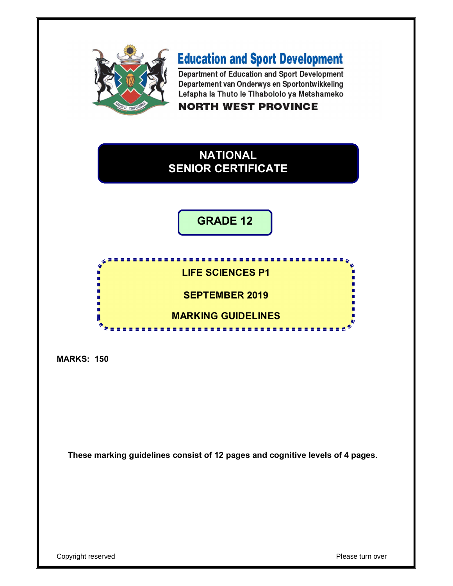

# **Education and Sport Development**

Department of Education and Sport Development Departement van Onderwys en Sportontwikkeling Lefapha la Thuto le Tihabololo ya Metshameko **NORTH WEST PROVINCE** 

# **NATIONAL SENIOR CERTIFICATE**

**GRADE 12**



**MARKS: 150**

**These marking guidelines consist of 12 pages and cognitive levels of 4 pages.**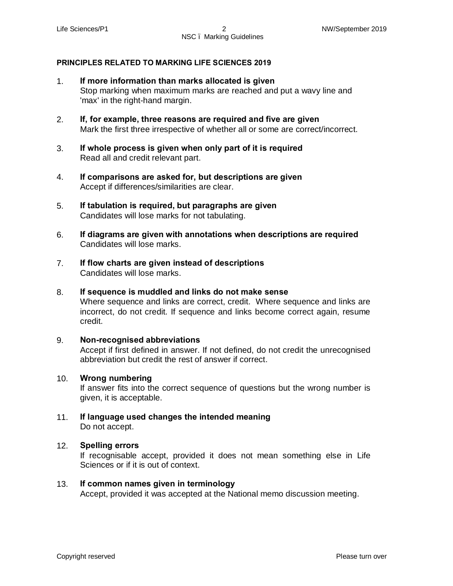## **PRINCIPLES RELATED TO MARKING LIFE SCIENCES 2019**

- 1. **If more information than marks allocated is given** Stop marking when maximum marks are reached and put a wavy line and 'max' in the right-hand margin.
- 2. **If, for example, three reasons are required and five are given** Mark the first three irrespective of whether all or some are correct/incorrect.
- 3. **If whole process is given when only part of it is required** Read all and credit relevant part.
- 4. **If comparisons are asked for, but descriptions are given** Accept if differences/similarities are clear.
- 5. **If tabulation is required, but paragraphs are given** Candidates will lose marks for not tabulating.
- 6. **If diagrams are given with annotations when descriptions are required** Candidates will lose marks.
- 7. **If flow charts are given instead of descriptions** Candidates will lose marks.
- 8. **If sequence is muddled and links do not make sense** Where sequence and links are correct, credit. Where sequence and links are incorrect, do not credit. If sequence and links become correct again, resume credit.

#### 9. **Non-recognised abbreviations** Accept if first defined in answer. If not defined, do not credit the unrecognised abbreviation but credit the rest of answer if correct.

## 10. **Wrong numbering**

If answer fits into the correct sequence of questions but the wrong number is given, it is acceptable.

11. **If language used changes the intended meaning** Do not accept.

## 12. **Spelling errors**

If recognisable accept, provided it does not mean something else in Life Sciences or if it is out of context.

#### 13. **If common names given in terminology** Accept, provided it was accepted at the National memo discussion meeting.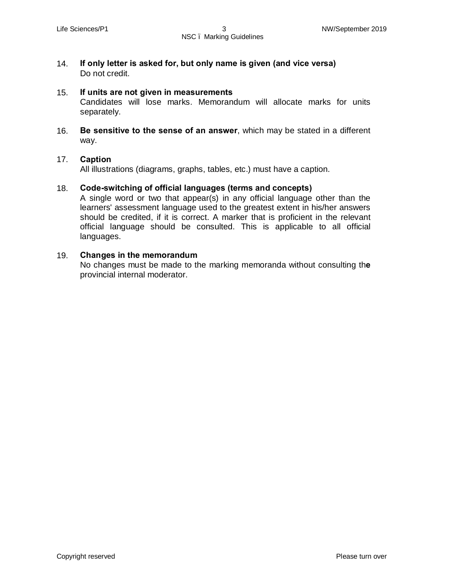14. **If only letter is asked for, but only name is given (and vice versa)** Do not credit.

#### 15. **If units are not given in measurements**

Candidates will lose marks. Memorandum will allocate marks for units separately.

16. **Be sensitive to the sense of an answer**, which may be stated in a different way.

#### 17. **Caption**

All illustrations (diagrams, graphs, tables, etc.) must have a caption.

#### 18. **Code-switching of official languages (terms and concepts)**

A single word or two that appear(s) in any official language other than the learners' assessment language used to the greatest extent in his/her answers should be credited, if it is correct. A marker that is proficient in the relevant official language should be consulted. This is applicable to all official languages.

#### 19. **Changes in the memorandum**

No changes must be made to the marking memoranda without consulting th**e** provincial internal moderator.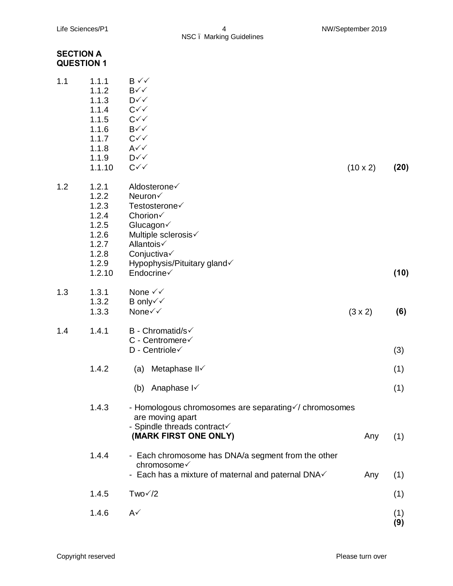# **SECTION A QUESTION 1**

| 1.1 | 1.1.1<br>1.1.2<br>1.1.3 | B √√<br>B√√<br>$D \checkmark \checkmark$                       |                 |      |
|-----|-------------------------|----------------------------------------------------------------|-----------------|------|
|     | 1.1.4                   | $C\checkmark$                                                  |                 |      |
|     | 1.1.5<br>1.1.6          | $C\checkmark\checkmark$<br>$B\checkmark\checkmark$             |                 |      |
|     | 1.1.7                   | $C\checkmark$                                                  |                 |      |
|     | 1.1.8                   | $A\checkmark\checkmark$                                        |                 |      |
|     | 1.1.9                   | $D\checkmark$                                                  |                 |      |
|     | 1.1.10                  | $C\checkmark$                                                  | $(10 \times 2)$ | (20) |
| 1.2 | 1.2.1                   | Aldosterone√                                                   |                 |      |
|     | 1.2.2                   | Neuron√                                                        |                 |      |
|     | 1.2.3                   | Testosterone√                                                  |                 |      |
|     | 1.2.4                   | Chorion√                                                       |                 |      |
|     | 1.2.5                   | Glucagon√                                                      |                 |      |
|     | 1.2.6                   | Multiple sclerosis√                                            |                 |      |
|     | 1.2.7<br>1.2.8          | Allantois√<br>Conjuctiva√                                      |                 |      |
|     | 1.2.9                   | Hypophysis/Pituitary gland√                                    |                 |      |
|     | 1.2.10                  | Endocrine√                                                     |                 | (10) |
|     |                         |                                                                |                 |      |
| 1.3 | 1.3.1                   | None $\checkmark\checkmark$                                    |                 |      |
|     | 1.3.2                   | B only√√                                                       |                 |      |
|     | 1.3.3                   | None√√                                                         | $(3 \times 2)$  | (6)  |
| 1.4 | 1.4.1                   | <b>B</b> - Chromatid/s√                                        |                 |      |
|     |                         | C - Centromere√                                                |                 |      |
|     |                         | D - Centriole V                                                |                 | (3)  |
|     | 1.4.2                   | Metaphase II√<br>(a)                                           |                 | (1)  |
|     |                         | Anaphase I<br>(b)                                              |                 | (1)  |
|     |                         |                                                                |                 |      |
|     | 1.4.3                   | - Homologous chromosomes are separating informosomes           |                 |      |
|     |                         | are moving apart                                               |                 |      |
|     |                         | - Spindle threads contract<br>(MARK FIRST ONE ONLY)            |                 |      |
|     |                         |                                                                | Any             | (1)  |
|     | 1.4.4                   | - Each chromosome has DNA/a segment from the other             |                 |      |
|     |                         | chromosome√                                                    |                 |      |
|     |                         | - Each has a mixture of maternal and paternal DNA $\checkmark$ | Any             | (1)  |
|     | 1.4.5                   | $Two\check{}/2$                                                |                 | (1)  |
|     | 1.4.6                   | $A\checkmark$                                                  |                 | (1)  |
|     |                         |                                                                |                 | (9)  |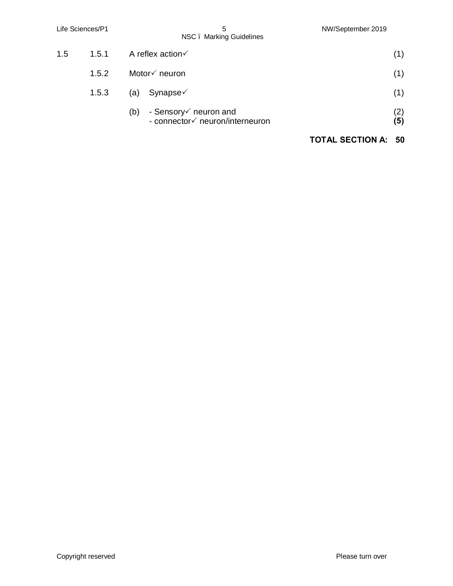|     | Life Sciences/P1 | 5<br>NSC. Marking Guidelines                                                | NW/September 2019       |                   |
|-----|------------------|-----------------------------------------------------------------------------|-------------------------|-------------------|
| 1.5 | 1.5.1            | A reflex action $\checkmark$                                                |                         | (1)               |
|     | 1.5.2            | Motor√ neuron                                                               |                         | (1)               |
|     | 1.5.3            | Synapse $\checkmark$<br>(a)                                                 |                         | (1)               |
|     |                  | - Sensory $\checkmark$ neuron and<br>(b)<br>- connector√ neuron/interneuron |                         | (2)<br><b>(5)</b> |
|     |                  |                                                                             | <b>TOTAL SECTION A:</b> | - 50              |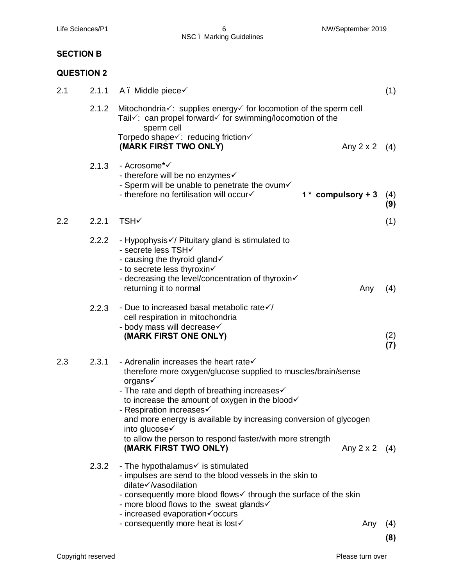# **SECTION B**

# **QUESTION 2**

| 2.1 | 2.1.1 | A. Middle piece√                                                                                                                                                                                                                                                                                                                                                                                                                            | (1)        |
|-----|-------|---------------------------------------------------------------------------------------------------------------------------------------------------------------------------------------------------------------------------------------------------------------------------------------------------------------------------------------------------------------------------------------------------------------------------------------------|------------|
|     | 2.1.2 | Mitochondria√: supplies energy√ for locomotion of the sperm cell<br>Tail $\sqrt{ }$ : can propel forward $\sqrt{ }$ for swimming/locomotion of the<br>sperm cell<br>Torpedo shape√: reducing friction√                                                                                                                                                                                                                                      |            |
|     |       | (MARK FIRST TWO ONLY)<br>Any 2 x 2                                                                                                                                                                                                                                                                                                                                                                                                          | (4)        |
|     | 2.1.3 | - Acrosome*√<br>- therefore will be no enzymes√<br>- Sperm will be unable to penetrate the ovum<br>- therefore no fertilisation will occurv<br>$1 *$ compulsory + 3                                                                                                                                                                                                                                                                         | (4)<br>(9) |
| 2.2 | 2.2.1 | <b>TSH√</b>                                                                                                                                                                                                                                                                                                                                                                                                                                 | (1)        |
|     | 2.2.2 | - Hypophysis // Pituitary gland is stimulated to<br>- secrete less TSH√<br>- causing the thyroid gland<br>- to secrete less thyroxin $\checkmark$<br>- decreasing the level/concentration of thyroxin<br>returning it to normal<br>Any                                                                                                                                                                                                      | (4)        |
|     | 2.2.3 | - Due to increased basal metabolic rate $\sqrt{}$<br>cell respiration in mitochondria<br>- body mass will decrease<br>(MARK FIRST ONE ONLY)                                                                                                                                                                                                                                                                                                 | (2)<br>(7) |
| 2.3 | 2.3.1 | - Adrenalin increases the heart rate<br>therefore more oxygen/glucose supplied to muscles/brain/sense<br>organs√<br>- The rate and depth of breathing increases<br>to increase the amount of oxygen in the blood√<br>- Respiration increases<br>and more energy is available by increasing conversion of glycogen<br>into glucose√<br>to allow the person to respond faster/with more strength<br>(MARK FIRST TWO ONLY)<br>Any $2 \times 2$ | (4)        |
|     | 2.3.2 | - The hypothalamus is stimulated<br>- impulses are send to the blood vessels in the skin to<br>dilate√/vasodilation<br>- consequently more blood flows intrough the surface of the skin<br>- more blood flows to the sweat glands v<br>- increased evaporation voccurs<br>- consequently more heat is lost<br>Any                                                                                                                           | (4)        |
|     |       |                                                                                                                                                                                                                                                                                                                                                                                                                                             | (8)        |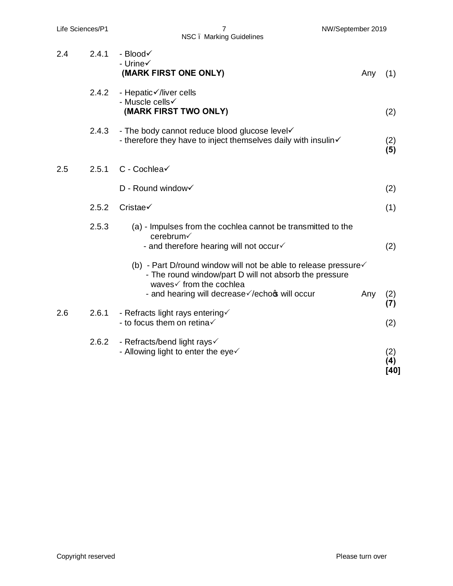NSC – Marking Guidelines

| 2.4 | 2.4.1 | - Blood√<br>- Urine√<br>(MARK FIRST ONE ONLY)                                                                                                                    | Any | (1)                |
|-----|-------|------------------------------------------------------------------------------------------------------------------------------------------------------------------|-----|--------------------|
|     | 2.4.2 | - Hepatic√/liver cells<br>- Muscle cells√<br>(MARK FIRST TWO ONLY)                                                                                               |     | (2)                |
|     | 2.4.3 | - The body cannot reduce blood glucose level<br>- therefore they have to inject themselves daily with insulin                                                    |     | (2)<br>(5)         |
| 2.5 | 2.5.1 | C - Cochlea√                                                                                                                                                     |     |                    |
|     |       | D - Round window√                                                                                                                                                |     | (2)                |
|     | 2.5.2 | Cristae√                                                                                                                                                         |     | (1)                |
|     | 2.5.3 | (a) - Impulses from the cochlea cannot be transmitted to the<br>cerebrum√<br>- and therefore hearing will not occur $\checkmark$                                 |     | (2)                |
|     |       | (b) - Part D/round window will not be able to release pressure $\checkmark$<br>- The round window/part D will not absorb the pressure<br>waves√ from the cochlea |     |                    |
|     |       | - and hearing will decrease //echo will occur                                                                                                                    | Any | (2)<br>(7)         |
| 2.6 | 2.6.1 | - Refracts light rays entering<br>- to focus them on retina $\checkmark$                                                                                         |     | (2)                |
|     | 2.6.2 | - Refracts/bend light rays√<br>- Allowing light to enter the eye $\checkmark$                                                                                    |     | (2)<br>(4)<br>[40] |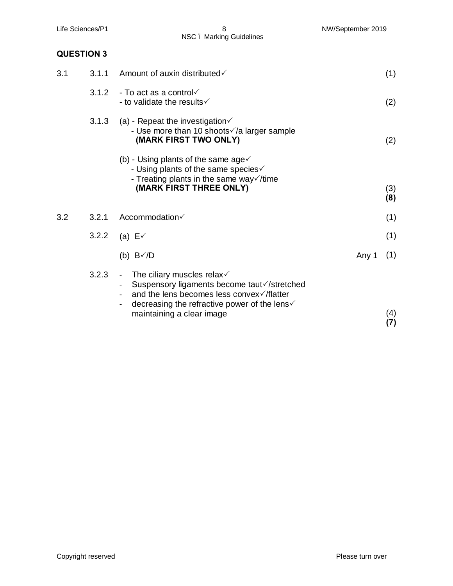|     |                   | NSC. Marking Guidelines                                                                                                                                                                                                       |       |            |
|-----|-------------------|-------------------------------------------------------------------------------------------------------------------------------------------------------------------------------------------------------------------------------|-------|------------|
|     | <b>QUESTION 3</b> |                                                                                                                                                                                                                               |       |            |
| 3.1 | 3.1.1             | Amount of auxin distributed√                                                                                                                                                                                                  |       | (1)        |
|     | 3.1.2             | - To act as a control $\checkmark$<br>- to validate the results $\checkmark$                                                                                                                                                  |       | (2)        |
|     | 3.1.3             | (a) - Repeat the investigation $\checkmark$<br>- Use more than 10 shoots√/a larger sample<br>(MARK FIRST TWO ONLY)                                                                                                            |       | (2)        |
|     |                   | (b) - Using plants of the same age $\checkmark$<br>- Using plants of the same species $\checkmark$<br>- Treating plants in the same way $\checkmark$ / time<br>(MARK FIRST THREE ONLY)                                        |       | (3)<br>(8) |
| 3.2 | 3.2.1             | Accommodation√                                                                                                                                                                                                                |       | (1)        |
|     | 3.2.2             | (a) $E\checkmark$                                                                                                                                                                                                             |       | (1)        |
|     |                   | (b) $B\checkmark/D$                                                                                                                                                                                                           | Any 1 | (1)        |
|     | 3.2.3             | - The ciliary muscles relax $\checkmark$<br>Suspensory ligaments become taut√/stretched<br>and the lens becomes less convex√/flatter<br>decreasing the refractive power of the lens $\checkmark$<br>maintaining a clear image |       | (4)<br>(7) |

Life Sciences/P1 8 and 8 NW/September 2019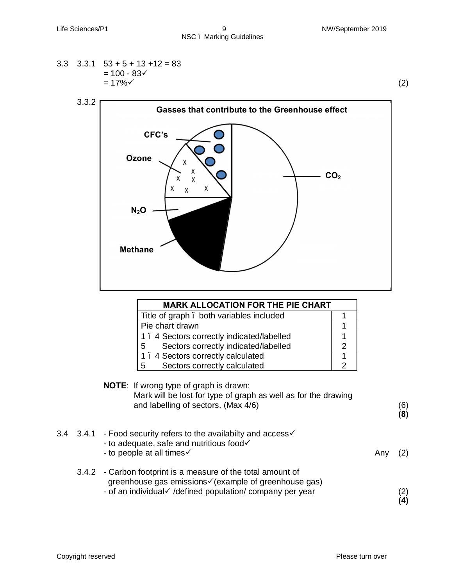$$
3.3 \quad 3.3.1 \quad 53 + 5 + 13 + 12 = 83
$$
  
= 100 - 83 $\checkmark$   
= 17% $\checkmark$  (2)



| <b>MARK ALLOCATION FOR THE PIE CHART</b>  |  |
|-------------------------------------------|--|
| Title of graph . both variables included  |  |
| Pie chart drawn                           |  |
| 1. 4 Sectors correctly indicated/labelled |  |
| Sectors correctly indicated/labelled<br>5 |  |
| 1. 4 Sectors correctly calculated         |  |
| Sectors correctly calculated<br>5         |  |
|                                           |  |

| <b>NOTE:</b> If wrong type of graph is drawn:<br>Mark will be lost for type of graph as well as for the drawing<br>and labelling of sectors. (Max 4/6)                              |     | (6)<br>(8)             |
|-------------------------------------------------------------------------------------------------------------------------------------------------------------------------------------|-----|------------------------|
| 3.4.1 - Food security refers to the availabilty and access√<br>- to adequate, safe and nutritious food<br>- to people at all times√                                                 | Any |                        |
| 3.4.2 - Carbon footprint is a measure of the total amount of<br>greenhouse gas emissions√ (example of greenhouse gas)<br>- of an individual / /defined population/ company per year |     | $\left( 2\right)$<br>4 |

3.4 3.4.1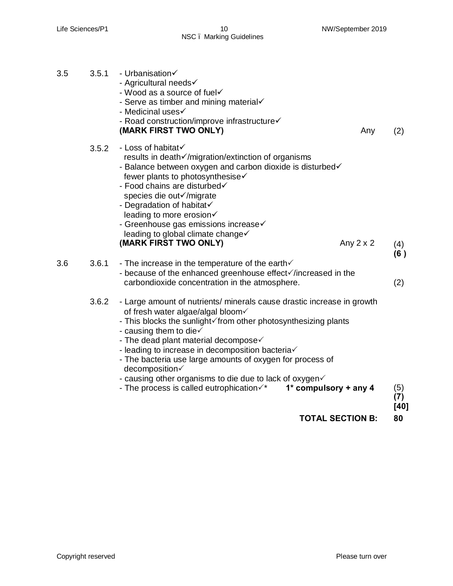Life Sciences/P1 10 10 NW/September 2019 NSC – Marking Guidelines

| 3.5 | 3.5.1<br>- Urbanisation<br>- Agricultural needs√<br>- Wood as a source of fuel<br>- Serve as timber and mining material<br>- Medicinal uses√<br>- Road construction/improve infrastructure<br>(MARK FIRST TWO ONLY)                                                                                                                                                                                                                                                                                                                                               | Any              | (2)                  |
|-----|-------------------------------------------------------------------------------------------------------------------------------------------------------------------------------------------------------------------------------------------------------------------------------------------------------------------------------------------------------------------------------------------------------------------------------------------------------------------------------------------------------------------------------------------------------------------|------------------|----------------------|
|     | - Loss of habitat√<br>3.5.2<br>results in death√/migration/extinction of organisms<br>- Balance between oxygen and carbon dioxide is disturbed<br>fewer plants to photosynthesise√<br>- Food chains are disturbed<br>species die out√/migrate<br>- Degradation of habitat<br>leading to more erosion√<br>- Greenhouse gas emissions increase<br>leading to global climate change√<br>(MARK FIRST TWO ONLY)                                                                                                                                                        | Any $2 \times 2$ | (4)                  |
| 3.6 | 3.6.1<br>- The increase in the temperature of the earth $\checkmark$<br>- because of the enhanced greenhouse effect increased in the<br>carbondioxide concentration in the atmosphere.                                                                                                                                                                                                                                                                                                                                                                            |                  | (6)<br>(2)           |
|     | 3.6.2<br>- Large amount of nutrients/ minerals cause drastic increase in growth<br>of fresh water algae/algal bloom√<br>- This blocks the sunlight of from other photosynthesizing plants<br>- causing them to die $\checkmark$<br>- The dead plant material decompose $\checkmark$<br>- leading to increase in decomposition bacteria<br>- The bacteria use large amounts of oxygen for process of<br>decomposition√<br>- causing other organisms to die due to lack of oxygen<br>1* compulsory + any 4<br>- The process is called eutrophication $\checkmark^*$ |                  | (5)<br>(7)<br>$[40]$ |

**TOTAL SECTION B: 80**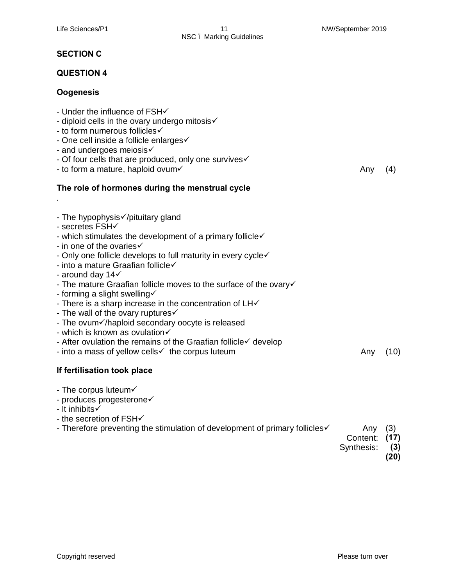# **SECTION C**

### **QUESTION 4**

# **Oogenesis**

| - Under the influence of FSH<br>- diploid cells in the ovary undergo mitosis√<br>- to form numerous follicles√<br>- One cell inside a follicle enlarges√<br>- and undergoes meiosis√<br>- Of four cells that are produced, only one survives<br>- to form a mature, haploid ovum√                                                                                                                                                                                                                                                                                                                                                                                                                                | Any | (4)  |
|------------------------------------------------------------------------------------------------------------------------------------------------------------------------------------------------------------------------------------------------------------------------------------------------------------------------------------------------------------------------------------------------------------------------------------------------------------------------------------------------------------------------------------------------------------------------------------------------------------------------------------------------------------------------------------------------------------------|-----|------|
| The role of hormones during the menstrual cycle                                                                                                                                                                                                                                                                                                                                                                                                                                                                                                                                                                                                                                                                  |     |      |
|                                                                                                                                                                                                                                                                                                                                                                                                                                                                                                                                                                                                                                                                                                                  |     |      |
| - The hypophysis√/pituitary gland<br>- secretes FSH√<br>- which stimulates the development of a primary follicle<br>- in one of the ovaries√<br>- Only one follicle develops to full maturity in every cyclev<br>- into a mature Graafian follicle√<br>- around day 14√<br>- The mature Graafian follicle moves to the surface of the ovary<br>- forming a slight swelling√<br>- There is a sharp increase in the concentration of LHV<br>- The wall of the ovary ruptures $\checkmark$<br>- The ovum inaploid secondary oocyte is released<br>- which is known as ovulation√<br>- After ovulation the remains of the Graafian follicle $\checkmark$ develop<br>- into a mass of yellow cells√ the corpus luteum | Any | (10) |
| If fertilisation took place                                                                                                                                                                                                                                                                                                                                                                                                                                                                                                                                                                                                                                                                                      |     |      |
| - The corpus luteum $\checkmark$<br>- produces progesterone<br>- It inhibits√<br>- the secretion of FSHV<br>- Therefore preventing the stimulation of development of primary follicles                                                                                                                                                                                                                                                                                                                                                                                                                                                                                                                           | Any | (3)  |
|                                                                                                                                                                                                                                                                                                                                                                                                                                                                                                                                                                                                                                                                                                                  |     |      |

- Content: **(17)** Synthesis:  **(3)**
	- - **(20)**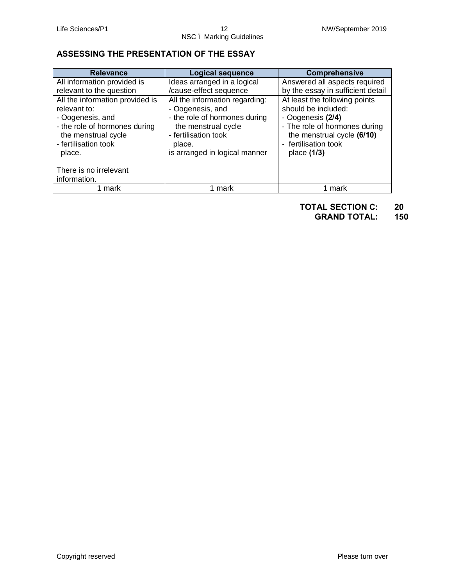# **ASSESSING THE PRESENTATION OF THE ESSAY**

| <b>Relevance</b>                | <b>Logical sequence</b>        | <b>Comprehensive</b>              |
|---------------------------------|--------------------------------|-----------------------------------|
| All information provided is     | Ideas arranged in a logical    | Answered all aspects required     |
| relevant to the question        | /cause-effect sequence         | by the essay in sufficient detail |
| All the information provided is | All the information regarding: | At least the following points     |
| relevant to:                    | - Oogenesis, and               | should be included:               |
| - Oogenesis, and                | - the role of hormones during  | - Oogenesis (2/4)                 |
| - the role of hormones during   | the menstrual cycle            | - The role of hormones during     |
| the menstrual cycle             | - fertilisation took           | the menstrual cycle (6/10)        |
| - fertilisation took            | place.                         | - fertilisation took              |
| place.                          | is arranged in logical manner  | place $(1/3)$                     |
|                                 |                                |                                   |
| There is no irrelevant          |                                |                                   |
| information.                    |                                |                                   |
| mark                            | 1 mark                         | 1 mark                            |

**TOTAL SECTION C: 20**

**GRAND TOTAL: 150**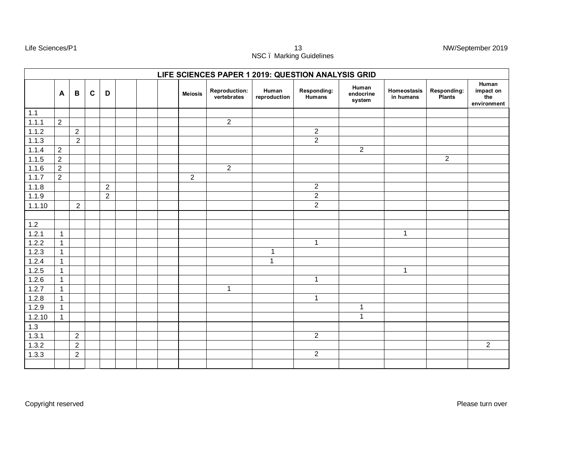Life Sciences/P1 13 NW/September 2019 NSC – Marking Guidelines

|        |                |                |             |                |  |                | LIFE SCIENCES PAPER 1 2019: QUESTION ANALYSIS GRID |                       |                              |                              |                          |                              |                                          |
|--------|----------------|----------------|-------------|----------------|--|----------------|----------------------------------------------------|-----------------------|------------------------------|------------------------------|--------------------------|------------------------------|------------------------------------------|
|        | $\mathbf{A}$   | B              | $\mathbf c$ | D              |  | <b>Meiosis</b> | <b>Reproduction:</b><br>vertebrates                | Human<br>reproduction | Responding:<br><b>Humans</b> | Human<br>endocrine<br>system | Homeostasis<br>in humans | Responding:<br><b>Plants</b> | Human<br>impact on<br>the<br>environment |
| 1.1    |                |                |             |                |  |                |                                                    |                       |                              |                              |                          |                              |                                          |
| 1.1.1  | $\overline{2}$ |                |             |                |  |                | $\overline{2}$                                     |                       |                              |                              |                          |                              |                                          |
| 1.1.2  |                | $\overline{2}$ |             |                |  |                |                                                    |                       | $\overline{c}$               |                              |                          |                              |                                          |
| 1.1.3  |                | $\overline{2}$ |             |                |  |                |                                                    |                       | $\overline{2}$               |                              |                          |                              |                                          |
| 1.1.4  | $\overline{2}$ |                |             |                |  |                |                                                    |                       |                              | $\overline{2}$               |                          |                              |                                          |
| 1.1.5  | $\overline{2}$ |                |             |                |  |                |                                                    |                       |                              |                              |                          | $\overline{2}$               |                                          |
| 1.1.6  | $\overline{2}$ |                |             |                |  |                | $\overline{2}$                                     |                       |                              |                              |                          |                              |                                          |
| 1.1.7  | $\overline{2}$ |                |             |                |  | $\overline{2}$ |                                                    |                       |                              |                              |                          |                              |                                          |
| 1.1.8  |                |                |             | $\overline{2}$ |  |                |                                                    |                       | $\overline{c}$               |                              |                          |                              |                                          |
| 1.1.9  |                |                |             | $\overline{2}$ |  |                |                                                    |                       | $\overline{2}$               |                              |                          |                              |                                          |
| 1.1.10 |                | $\overline{c}$ |             |                |  |                |                                                    |                       | $\overline{2}$               |                              |                          |                              |                                          |
|        |                |                |             |                |  |                |                                                    |                       |                              |                              |                          |                              |                                          |
| $1.2$  |                |                |             |                |  |                |                                                    |                       |                              |                              |                          |                              |                                          |
| 1.2.1  | $\mathbf{1}$   |                |             |                |  |                |                                                    |                       |                              |                              | $\mathbf{1}$             |                              |                                          |
| 1.2.2  | $\mathbf{1}$   |                |             |                |  |                |                                                    |                       | $\mathbf 1$                  |                              |                          |                              |                                          |
| 1.2.3  | $\mathbf{1}$   |                |             |                |  |                |                                                    | $\mathbf{1}$          |                              |                              |                          |                              |                                          |
| 1.2.4  | $\mathbf{1}$   |                |             |                |  |                |                                                    | $\mathbf{1}$          |                              |                              |                          |                              |                                          |
| 1.2.5  | $\mathbf{1}$   |                |             |                |  |                |                                                    |                       |                              |                              | $\mathbf{1}$             |                              |                                          |
| 1.2.6  | $\mathbf{1}$   |                |             |                |  |                |                                                    |                       | $\mathbf{1}$                 |                              |                          |                              |                                          |
| 1.2.7  | $\mathbf{1}$   |                |             |                |  |                | $\mathbf{1}$                                       |                       |                              |                              |                          |                              |                                          |
| 1.2.8  | $\mathbf{1}$   |                |             |                |  |                |                                                    |                       | 1                            |                              |                          |                              |                                          |
| 1.2.9  | $\mathbf{1}$   |                |             |                |  |                |                                                    |                       |                              | 1                            |                          |                              |                                          |
| 1.2.10 | $\mathbf{1}$   |                |             |                |  |                |                                                    |                       |                              | $\mathbf{1}$                 |                          |                              |                                          |
| 1.3    |                |                |             |                |  |                |                                                    |                       |                              |                              |                          |                              |                                          |
| 1.3.1  |                | $\overline{2}$ |             |                |  |                |                                                    |                       | $\overline{2}$               |                              |                          |                              |                                          |
| 1.3.2  |                | $\overline{2}$ |             |                |  |                |                                                    |                       |                              |                              |                          |                              | $\overline{2}$                           |
| 1.3.3  |                | 2              |             |                |  |                |                                                    |                       | $\overline{2}$               |                              |                          |                              |                                          |
|        |                |                |             |                |  |                |                                                    |                       |                              |                              |                          |                              |                                          |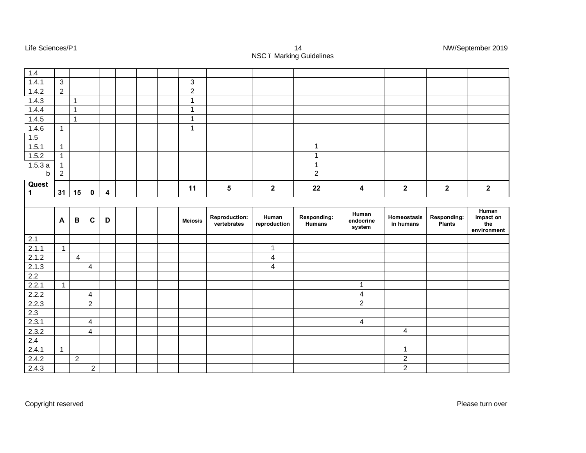| $1.4$            |                |                |                          |   |  |                |                         |                         |                |                         |                                    |                         |                    |
|------------------|----------------|----------------|--------------------------|---|--|----------------|-------------------------|-------------------------|----------------|-------------------------|------------------------------------|-------------------------|--------------------|
| 1.4.1            | $\mathbf{3}$   |                |                          |   |  | 3              |                         |                         |                |                         |                                    |                         |                    |
| 1.4.2            | $\overline{2}$ |                |                          |   |  | $\overline{2}$ |                         |                         |                |                         |                                    |                         |                    |
| 1.4.3            |                | $\mathbf{1}$   |                          |   |  | 1              |                         |                         |                |                         |                                    |                         |                    |
| 1.4.4            |                | $\overline{1}$ |                          |   |  | $\mathbf{1}$   |                         |                         |                |                         |                                    |                         |                    |
| 1.4.5            |                | $\mathbf{1}$   |                          |   |  | 1              |                         |                         |                |                         |                                    |                         |                    |
| 1.4.6            | $\overline{1}$ |                |                          |   |  | $\mathbf{1}$   |                         |                         |                |                         |                                    |                         |                    |
| $\overline{1.5}$ |                |                |                          |   |  |                |                         |                         |                |                         |                                    |                         |                    |
| 1.5.1            | $\overline{1}$ |                |                          |   |  |                |                         |                         | 1              |                         |                                    |                         |                    |
| 1.5.2            | $\mathbf{1}$   |                |                          |   |  |                |                         |                         | 1              |                         |                                    |                         |                    |
| 1.5.3a           | 1              |                |                          |   |  |                |                         |                         | 1              |                         |                                    |                         |                    |
| b                | $\sqrt{2}$     |                |                          |   |  |                |                         |                         | $\overline{2}$ |                         |                                    |                         |                    |
| Quest            |                |                |                          |   |  |                |                         |                         |                |                         |                                    |                         |                    |
| $\mathbf{1}$     | 31             | 15             | $\mathbf 0$              | 4 |  | 11             | $\overline{\mathbf{5}}$ | $\mathbf 2$             | 22             | $\overline{\mathbf{4}}$ | $\mathbf 2$                        | $\overline{\mathbf{2}}$ | $\mathbf 2$        |
|                  |                |                |                          |   |  |                |                         |                         |                |                         |                                    |                         |                    |
|                  | $\mathbf{A}$   | $\, {\bf B}$   | $\mathbf c$              | D |  | <b>Meiosis</b> | <b>Reproduction:</b>    | Human                   | Responding:    | Human<br>endocrine      | Homeostasis                        | Responding:             | Human<br>impact on |
|                  |                |                |                          |   |  |                | vertebrates             | reproduction            | Humans         | system                  | in humans                          | Plants                  | the<br>environment |
| $2.1$            |                |                |                          |   |  |                |                         |                         |                |                         |                                    |                         |                    |
| 2.1.1            | $\overline{1}$ |                |                          |   |  |                |                         | $\mathbf{1}$            |                |                         |                                    |                         |                    |
| 2.1.2            |                | $\overline{4}$ |                          |   |  |                |                         | $\overline{\mathbf{4}}$ |                |                         |                                    |                         |                    |
| 2.1.3            |                |                | $\overline{4}$           |   |  |                |                         | $\overline{4}$          |                |                         |                                    |                         |                    |
| 2.2              |                |                |                          |   |  |                |                         |                         |                |                         |                                    |                         |                    |
| 2.2.1            | $\overline{1}$ |                |                          |   |  |                |                         |                         |                | $\mathbf{1}$            |                                    |                         |                    |
| 2.2.2            |                |                | $\overline{\mathcal{A}}$ |   |  |                |                         |                         |                | $\overline{\mathbf{4}}$ |                                    |                         |                    |
| 2.2.3            |                |                | $\overline{2}$           |   |  |                |                         |                         |                | $\overline{2}$          |                                    |                         |                    |
| 2.3              |                |                |                          |   |  |                |                         |                         |                |                         |                                    |                         |                    |
| 2.3.1            |                |                | $\overline{\mathbf{4}}$  |   |  |                |                         |                         |                | $\overline{4}$          |                                    |                         |                    |
| 2.3.2            |                |                | $\overline{4}$           |   |  |                |                         |                         |                |                         | $\overline{\mathbf{4}}$            |                         |                    |
| 2.4              |                |                |                          |   |  |                |                         |                         |                |                         |                                    |                         |                    |
| 2.4.1            | $\overline{1}$ |                |                          |   |  |                |                         |                         |                |                         | $\mathbf{1}$                       |                         |                    |
| 2.4.2<br>2.4.3   |                | $\overline{2}$ | $\overline{2}$           |   |  |                |                         |                         |                |                         | $\boldsymbol{2}$<br>$\overline{2}$ |                         |                    |

Life Sciences/P1 14 NW/September 2019 NSC – Marking Guidelines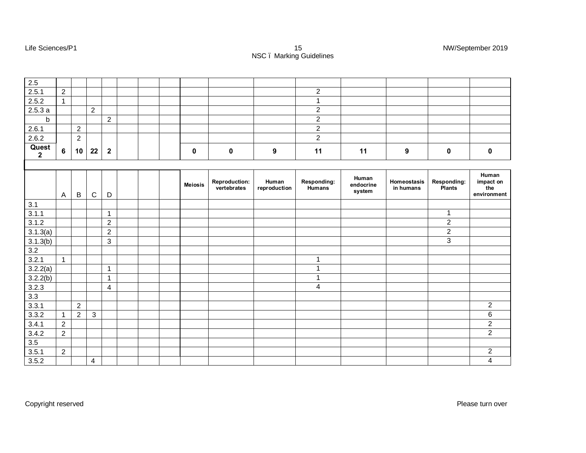| 2.5                              |                |                  |                |                |  |                |                                     |                       |                              |                              |                          |                       |                                          |
|----------------------------------|----------------|------------------|----------------|----------------|--|----------------|-------------------------------------|-----------------------|------------------------------|------------------------------|--------------------------|-----------------------|------------------------------------------|
| 2.5.1                            | $\overline{2}$ |                  |                |                |  |                |                                     |                       | $\overline{2}$               |                              |                          |                       |                                          |
| 2.5.2                            | $\mathbf{1}$   |                  |                |                |  |                |                                     |                       | $\mathbf{1}$                 |                              |                          |                       |                                          |
| 2.5.3a                           |                |                  | $\overline{2}$ |                |  |                |                                     |                       | $\overline{2}$               |                              |                          |                       |                                          |
| $\mathsf b$                      |                |                  |                | $\overline{2}$ |  |                |                                     |                       | $\overline{2}$               |                              |                          |                       |                                          |
| 2.6.1                            |                | $\overline{2}$   |                |                |  |                |                                     |                       | $\overline{2}$               |                              |                          |                       |                                          |
| 2.6.2                            |                | $\boldsymbol{2}$ |                |                |  |                |                                     |                       | $\overline{2}$               |                              |                          |                       |                                          |
| Quest<br>$\overline{\mathbf{2}}$ | $\bf 6$        | 10               | 22             | $\mathbf{2}$   |  | $\mathbf 0$    | $\pmb{0}$                           | $\boldsymbol{9}$      | 11                           | 11                           | 9                        | $\pmb{0}$             | $\pmb{0}$                                |
|                                  |                |                  |                |                |  |                |                                     |                       |                              |                              |                          |                       |                                          |
|                                  | $\mathsf{A}$   | $\mathsf B$      | $\mathbf C$    | D              |  | <b>Meiosis</b> | <b>Reproduction:</b><br>vertebrates | Human<br>reproduction | Responding:<br><b>Humans</b> | Human<br>endocrine<br>system | Homeostasis<br>in humans | Responding:<br>Plants | Human<br>impact on<br>the<br>environment |
| 3.1                              |                |                  |                |                |  |                |                                     |                       |                              |                              |                          |                       |                                          |
| 3.1.1                            |                |                  |                | 1              |  |                |                                     |                       |                              |                              |                          | $\mathbf 1$           |                                          |
| 3.1.2                            |                |                  |                | $\overline{2}$ |  |                |                                     |                       |                              |                              |                          | $\overline{2}$        |                                          |
| 3.1.3(a)                         |                |                  |                | $\overline{2}$ |  |                |                                     |                       |                              |                              |                          | $\overline{2}$        |                                          |
| 3.1.3(b)                         |                |                  |                | $\mathbf{3}$   |  |                |                                     |                       |                              |                              |                          | 3                     |                                          |
| 3.2                              |                |                  |                |                |  |                |                                     |                       |                              |                              |                          |                       |                                          |
| 3.2.1                            | $\mathbf{1}$   |                  |                |                |  |                |                                     |                       | $\mathbf{1}$                 |                              |                          |                       |                                          |
| 3.2.2(a)                         |                |                  |                | $\mathbf{1}$   |  |                |                                     |                       | 1                            |                              |                          |                       |                                          |
| 3.2.2(b)                         |                |                  |                | $\mathbf{1}$   |  |                |                                     |                       | 1                            |                              |                          |                       |                                          |
| 3.2.3                            |                |                  |                | 4              |  |                |                                     |                       | $\overline{4}$               |                              |                          |                       |                                          |
| 3.3                              |                |                  |                |                |  |                |                                     |                       |                              |                              |                          |                       |                                          |
| 3.3.1                            |                | $\overline{2}$   |                |                |  |                |                                     |                       |                              |                              |                          |                       | $\overline{2}$                           |
| 3.3.2                            | 1              | $\overline{c}$   | $\mathbf{3}$   |                |  |                |                                     |                       |                              |                              |                          |                       | $\,6$                                    |
| 3.4.1                            | $\overline{2}$ |                  |                |                |  |                |                                     |                       |                              |                              |                          |                       | $\overline{2}$                           |
| 3.4.2                            | $\overline{2}$ |                  |                |                |  |                |                                     |                       |                              |                              |                          |                       | $\overline{2}$                           |
| 3.5                              |                |                  |                |                |  |                |                                     |                       |                              |                              |                          |                       |                                          |
| 3.5.1                            | $\overline{2}$ |                  |                |                |  |                |                                     |                       |                              |                              |                          |                       | $\overline{2}$                           |

3.5.2 4 4